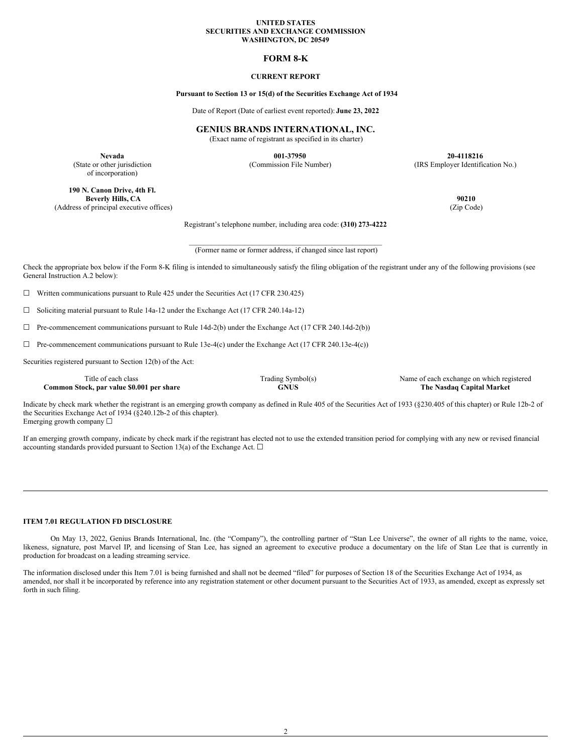#### **UNITED STATES SECURITIES AND EXCHANGE COMMISSION WASHINGTON, DC 20549**

# **FORM 8-K**

### **CURRENT REPORT**

#### **Pursuant to Section 13 or 15(d) of the Securities Exchange Act of 1934**

Date of Report (Date of earliest event reported): **June 23, 2022**

# **GENIUS BRANDS INTERNATIONAL, INC.**

(Exact name of registrant as specified in its charter)

**001-37950**

(Commission File Number)

**20-4118216** (IRS Employer Identification No.)

**190 N. Canon Drive, 4th Fl. Beverly Hills, CA 90210** (Address of principal executive offices) (Zip Code)

**Nevada** (State or other jurisdiction of incorporation)

Registrant's telephone number, including area code: **(310) 273-4222**

\_\_\_\_\_\_\_\_\_\_\_\_\_\_\_\_\_\_\_\_\_\_\_\_\_\_\_\_\_\_\_\_\_\_\_\_\_\_\_\_\_\_\_\_\_\_\_\_\_\_\_\_ (Former name or former address, if changed since last report)

Check the appropriate box below if the Form 8-K filing is intended to simultaneously satisfy the filing obligation of the registrant under any of the following provisions (see General Instruction A.2 below):

☐ Written communications pursuant to Rule 425 under the Securities Act (17 CFR 230.425)

☐ Soliciting material pursuant to Rule 14a-12 under the Exchange Act (17 CFR 240.14a-12)

 $\Box$  Pre-commencement communications pursuant to Rule 14d-2(b) under the Exchange Act (17 CFR 240.14d-2(b))

 $\Box$  Pre-commencement communications pursuant to Rule 13e-4(c) under the Exchange Act (17 CFR 240.13e-4(c))

Securities registered pursuant to Section 12(b) of the Act:

**Common Stock, par value \$0.001 per share** 

Title of each class and the set of each class Trading Symbol(s) Name of each exchange on which registered<br>
ORUS The Nasdaq Capital Market

Indicate by check mark whether the registrant is an emerging growth company as defined in Rule 405 of the Securities Act of 1933 (§230.405 of this chapter) or Rule 12b-2 of the Securities Exchange Act of 1934 (§240.12b-2 of this chapter). Emerging growth company ☐

If an emerging growth company, indicate by check mark if the registrant has elected not to use the extended transition period for complying with any new or revised financial accounting standards provided pursuant to Section 13(a) of the Exchange Act.  $\Box$ 

### **ITEM 7.01 REGULATION FD DISCLOSURE**

On May 13, 2022, Genius Brands International, Inc. (the "Company"), the controlling partner of "Stan Lee Universe", the owner of all rights to the name, voice, likeness, signature, post Marvel IP, and licensing of Stan Lee, has signed an agreement to executive produce a documentary on the life of Stan Lee that is currently in production for broadcast on a leading streaming service.

The information disclosed under this Item 7.01 is being furnished and shall not be deemed "filed" for purposes of Section 18 of the Securities Exchange Act of 1934, as amended, nor shall it be incorporated by reference into any registration statement or other document pursuant to the Securities Act of 1933, as amended, except as expressly set forth in such filing.